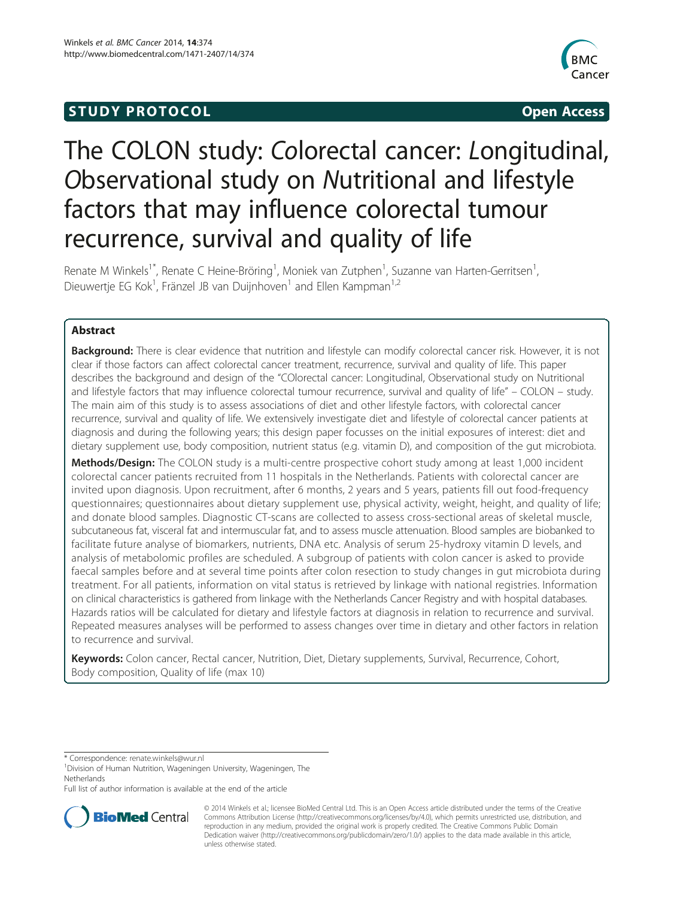## **STUDY PROTOCOL** CONTROL CONTROL CONTROL CONTROL CONTROL CONTROL CONTROL CONTROL CONTROL CONTROL CONTROL CONTROL CONTROL CONTROL CONTROL CONTROL CONTROL CONTROL CONTROL CONTROL CONTROL CONTROL CONTROL CONTROL CONTROL CONTR



# The COLON study: Colorectal cancer: Longitudinal, Observational study on Nutritional and lifestyle factors that may influence colorectal tumour recurrence, survival and quality of life

Renate M Winkels<sup>1\*</sup>, Renate C Heine-Bröring<sup>1</sup>, Moniek van Zutphen<sup>1</sup>, Suzanne van Harten-Gerritsen<sup>1</sup> , Dieuwertje EG Kok<sup>1</sup>, Fränzel JB van Duijnhoven<sup>1</sup> and Ellen Kampman<sup>1,2</sup>

## Abstract

Background: There is clear evidence that nutrition and lifestyle can modify colorectal cancer risk. However, it is not clear if those factors can affect colorectal cancer treatment, recurrence, survival and quality of life. This paper describes the background and design of the "COlorectal cancer: Longitudinal, Observational study on Nutritional and lifestyle factors that may influence colorectal tumour recurrence, survival and quality of life" – COLON – study. The main aim of this study is to assess associations of diet and other lifestyle factors, with colorectal cancer recurrence, survival and quality of life. We extensively investigate diet and lifestyle of colorectal cancer patients at diagnosis and during the following years; this design paper focusses on the initial exposures of interest: diet and dietary supplement use, body composition, nutrient status (e.g. vitamin D), and composition of the gut microbiota.

Methods/Design: The COLON study is a multi-centre prospective cohort study among at least 1,000 incident colorectal cancer patients recruited from 11 hospitals in the Netherlands. Patients with colorectal cancer are invited upon diagnosis. Upon recruitment, after 6 months, 2 years and 5 years, patients fill out food-frequency questionnaires; questionnaires about dietary supplement use, physical activity, weight, height, and quality of life; and donate blood samples. Diagnostic CT-scans are collected to assess cross-sectional areas of skeletal muscle, subcutaneous fat, visceral fat and intermuscular fat, and to assess muscle attenuation. Blood samples are biobanked to facilitate future analyse of biomarkers, nutrients, DNA etc. Analysis of serum 25-hydroxy vitamin D levels, and analysis of metabolomic profiles are scheduled. A subgroup of patients with colon cancer is asked to provide faecal samples before and at several time points after colon resection to study changes in gut microbiota during treatment. For all patients, information on vital status is retrieved by linkage with national registries. Information on clinical characteristics is gathered from linkage with the Netherlands Cancer Registry and with hospital databases. Hazards ratios will be calculated for dietary and lifestyle factors at diagnosis in relation to recurrence and survival. Repeated measures analyses will be performed to assess changes over time in dietary and other factors in relation to recurrence and survival.

Keywords: Colon cancer, Rectal cancer, Nutrition, Diet, Dietary supplements, Survival, Recurrence, Cohort, Body composition, Quality of life (max 10)

\* Correspondence: [renate.winkels@wur.nl](mailto:renate.winkels@wur.nl) <sup>1</sup>

<sup>1</sup>Division of Human Nutrition, Wageningen University, Wageningen, The Netherlands

Full list of author information is available at the end of the article



<sup>© 2014</sup> Winkels et al.; licensee BioMed Central Ltd. This is an Open Access article distributed under the terms of the Creative Commons Attribution License [\(http://creativecommons.org/licenses/by/4.0\)](http://creativecommons.org/licenses/by/4.0), which permits unrestricted use, distribution, and reproduction in any medium, provided the original work is properly credited. The Creative Commons Public Domain Dedication waiver [\(http://creativecommons.org/publicdomain/zero/1.0/](http://creativecommons.org/publicdomain/zero/1.0/)) applies to the data made available in this article, unless otherwise stated.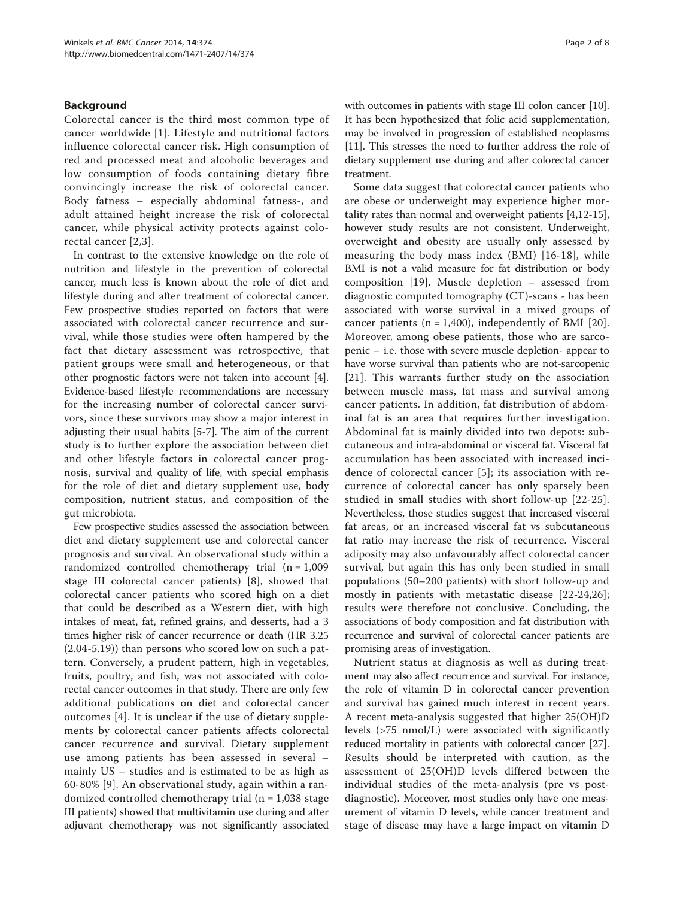## Background

Colorectal cancer is the third most common type of cancer worldwide [[1\]](#page-6-0). Lifestyle and nutritional factors influence colorectal cancer risk. High consumption of red and processed meat and alcoholic beverages and low consumption of foods containing dietary fibre convincingly increase the risk of colorectal cancer. Body fatness – especially abdominal fatness-, and adult attained height increase the risk of colorectal cancer, while physical activity protects against colorectal cancer [[2,3\]](#page-6-0).

In contrast to the extensive knowledge on the role of nutrition and lifestyle in the prevention of colorectal cancer, much less is known about the role of diet and lifestyle during and after treatment of colorectal cancer. Few prospective studies reported on factors that were associated with colorectal cancer recurrence and survival, while those studies were often hampered by the fact that dietary assessment was retrospective, that patient groups were small and heterogeneous, or that other prognostic factors were not taken into account [[4](#page-6-0)]. Evidence-based lifestyle recommendations are necessary for the increasing number of colorectal cancer survivors, since these survivors may show a major interest in adjusting their usual habits [[5-7\]](#page-6-0). The aim of the current study is to further explore the association between diet and other lifestyle factors in colorectal cancer prognosis, survival and quality of life, with special emphasis for the role of diet and dietary supplement use, body composition, nutrient status, and composition of the gut microbiota.

Few prospective studies assessed the association between diet and dietary supplement use and colorectal cancer prognosis and survival. An observational study within a randomized controlled chemotherapy trial  $(n = 1,009)$ stage III colorectal cancer patients) [[8\]](#page-6-0), showed that colorectal cancer patients who scored high on a diet that could be described as a Western diet, with high intakes of meat, fat, refined grains, and desserts, had a 3 times higher risk of cancer recurrence or death (HR 3.25 (2.04-5.19)) than persons who scored low on such a pattern. Conversely, a prudent pattern, high in vegetables, fruits, poultry, and fish, was not associated with colorectal cancer outcomes in that study. There are only few additional publications on diet and colorectal cancer outcomes [\[4](#page-6-0)]. It is unclear if the use of dietary supplements by colorectal cancer patients affects colorectal cancer recurrence and survival. Dietary supplement use among patients has been assessed in several – mainly US – studies and is estimated to be as high as 60-80% [[9](#page-6-0)]. An observational study, again within a randomized controlled chemotherapy trial ( $n = 1,038$  stage III patients) showed that multivitamin use during and after adjuvant chemotherapy was not significantly associated with outcomes in patients with stage III colon cancer [[10](#page-6-0)]. It has been hypothesized that folic acid supplementation, may be involved in progression of established neoplasms [[11](#page-6-0)]. This stresses the need to further address the role of dietary supplement use during and after colorectal cancer treatment.

Some data suggest that colorectal cancer patients who are obese or underweight may experience higher mortality rates than normal and overweight patients [[4,12](#page-6-0)-[15](#page-6-0)], however study results are not consistent. Underweight, overweight and obesity are usually only assessed by measuring the body mass index (BMI) [[16](#page-6-0)-[18](#page-6-0)], while BMI is not a valid measure for fat distribution or body composition [\[19](#page-6-0)]. Muscle depletion – assessed from diagnostic computed tomography (CT)-scans - has been associated with worse survival in a mixed groups of cancer patients  $(n = 1,400)$ , independently of BMI [\[20](#page-6-0)]. Moreover, among obese patients, those who are sarcopenic – i.e. those with severe muscle depletion- appear to have worse survival than patients who are not-sarcopenic [[21](#page-6-0)]. This warrants further study on the association between muscle mass, fat mass and survival among cancer patients. In addition, fat distribution of abdominal fat is an area that requires further investigation. Abdominal fat is mainly divided into two depots: subcutaneous and intra-abdominal or visceral fat. Visceral fat accumulation has been associated with increased incidence of colorectal cancer [\[5\]](#page-6-0); its association with recurrence of colorectal cancer has only sparsely been studied in small studies with short follow-up [[22](#page-6-0)-[25](#page-6-0)]. Nevertheless, those studies suggest that increased visceral fat areas, or an increased visceral fat vs subcutaneous fat ratio may increase the risk of recurrence. Visceral adiposity may also unfavourably affect colorectal cancer survival, but again this has only been studied in small populations (50–200 patients) with short follow-up and mostly in patients with metastatic disease [\[22](#page-6-0)-[24,26](#page-6-0)]; results were therefore not conclusive. Concluding, the associations of body composition and fat distribution with recurrence and survival of colorectal cancer patients are promising areas of investigation.

Nutrient status at diagnosis as well as during treatment may also affect recurrence and survival. For instance, the role of vitamin D in colorectal cancer prevention and survival has gained much interest in recent years. A recent meta-analysis suggested that higher 25(OH)D levels (>75 nmol/L) were associated with significantly reduced mortality in patients with colorectal cancer [[27](#page-6-0)]. Results should be interpreted with caution, as the assessment of 25(OH)D levels differed between the individual studies of the meta-analysis (pre vs postdiagnostic). Moreover, most studies only have one measurement of vitamin D levels, while cancer treatment and stage of disease may have a large impact on vitamin D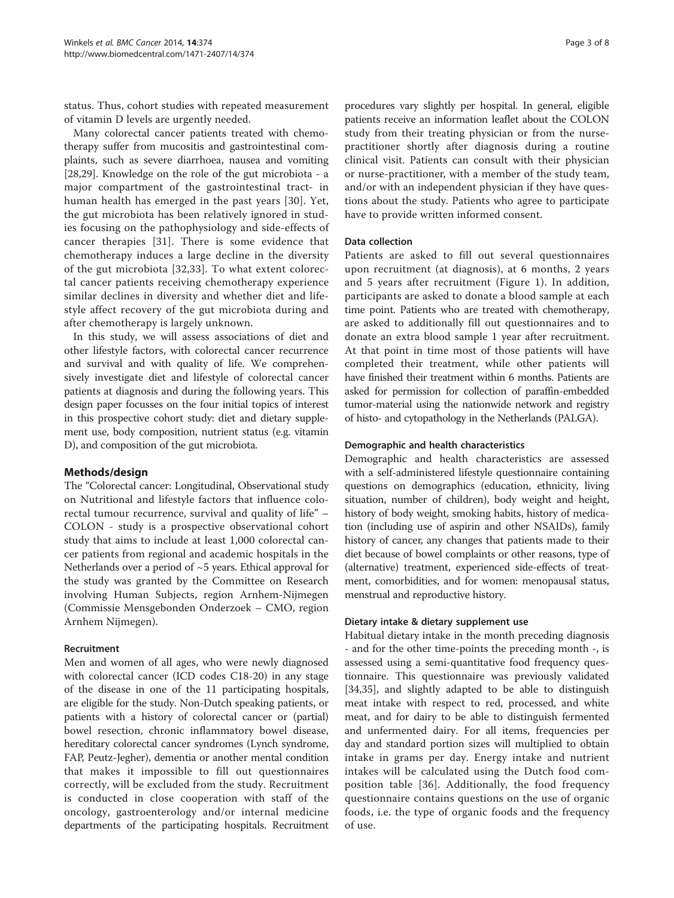status. Thus, cohort studies with repeated measurement of vitamin D levels are urgently needed.

Many colorectal cancer patients treated with chemotherapy suffer from mucositis and gastrointestinal complaints, such as severe diarrhoea, nausea and vomiting [[28,29\]](#page-6-0). Knowledge on the role of the gut microbiota - a major compartment of the gastrointestinal tract- in human health has emerged in the past years [[30\]](#page-6-0). Yet, the gut microbiota has been relatively ignored in studies focusing on the pathophysiology and side-effects of cancer therapies [[31](#page-6-0)]. There is some evidence that chemotherapy induces a large decline in the diversity of the gut microbiota [[32](#page-6-0),[33\]](#page-6-0). To what extent colorectal cancer patients receiving chemotherapy experience similar declines in diversity and whether diet and lifestyle affect recovery of the gut microbiota during and after chemotherapy is largely unknown.

In this study, we will assess associations of diet and other lifestyle factors, with colorectal cancer recurrence and survival and with quality of life. We comprehensively investigate diet and lifestyle of colorectal cancer patients at diagnosis and during the following years. This design paper focusses on the four initial topics of interest in this prospective cohort study: diet and dietary supplement use, body composition, nutrient status (e.g. vitamin D), and composition of the gut microbiota.

## Methods/design

The "Colorectal cancer: Longitudinal, Observational study on Nutritional and lifestyle factors that influence colorectal tumour recurrence, survival and quality of life" – COLON - study is a prospective observational cohort study that aims to include at least 1,000 colorectal cancer patients from regional and academic hospitals in the Netherlands over a period of  $\sim$  5 years. Ethical approval for the study was granted by the Committee on Research involving Human Subjects, region Arnhem-Nijmegen (Commissie Mensgebonden Onderzoek – CMO, region Arnhem Nijmegen).

#### Recruitment

Men and women of all ages, who were newly diagnosed with colorectal cancer (ICD codes C18-20) in any stage of the disease in one of the 11 participating hospitals, are eligible for the study. Non-Dutch speaking patients, or patients with a history of colorectal cancer or (partial) bowel resection, chronic inflammatory bowel disease, hereditary colorectal cancer syndromes (Lynch syndrome, FAP, Peutz-Jegher), dementia or another mental condition that makes it impossible to fill out questionnaires correctly, will be excluded from the study. Recruitment is conducted in close cooperation with staff of the oncology, gastroenterology and/or internal medicine departments of the participating hospitals. Recruitment Data collection

Patients are asked to fill out several questionnaires upon recruitment (at diagnosis), at 6 months, 2 years and 5 years after recruitment (Figure [1\)](#page-3-0). In addition, participants are asked to donate a blood sample at each time point. Patients who are treated with chemotherapy, are asked to additionally fill out questionnaires and to donate an extra blood sample 1 year after recruitment. At that point in time most of those patients will have completed their treatment, while other patients will have finished their treatment within 6 months. Patients are asked for permission for collection of paraffin-embedded tumor-material using the nationwide network and registry of histo- and cytopathology in the Netherlands (PALGA).

and/or with an independent physician if they have questions about the study. Patients who agree to participate

have to provide written informed consent.

#### Demographic and health characteristics

Demographic and health characteristics are assessed with a self-administered lifestyle questionnaire containing questions on demographics (education, ethnicity, living situation, number of children), body weight and height, history of body weight, smoking habits, history of medication (including use of aspirin and other NSAIDs), family history of cancer, any changes that patients made to their diet because of bowel complaints or other reasons, type of (alternative) treatment, experienced side-effects of treatment, comorbidities, and for women: menopausal status, menstrual and reproductive history.

#### Dietary intake & dietary supplement use

Habitual dietary intake in the month preceding diagnosis - and for the other time-points the preceding month -, is assessed using a semi-quantitative food frequency questionnaire. This questionnaire was previously validated [[34,35\]](#page-6-0), and slightly adapted to be able to distinguish meat intake with respect to red, processed, and white meat, and for dairy to be able to distinguish fermented and unfermented dairy. For all items, frequencies per day and standard portion sizes will multiplied to obtain intake in grams per day. Energy intake and nutrient intakes will be calculated using the Dutch food composition table [\[36\]](#page-6-0). Additionally, the food frequency questionnaire contains questions on the use of organic foods, i.e. the type of organic foods and the frequency of use.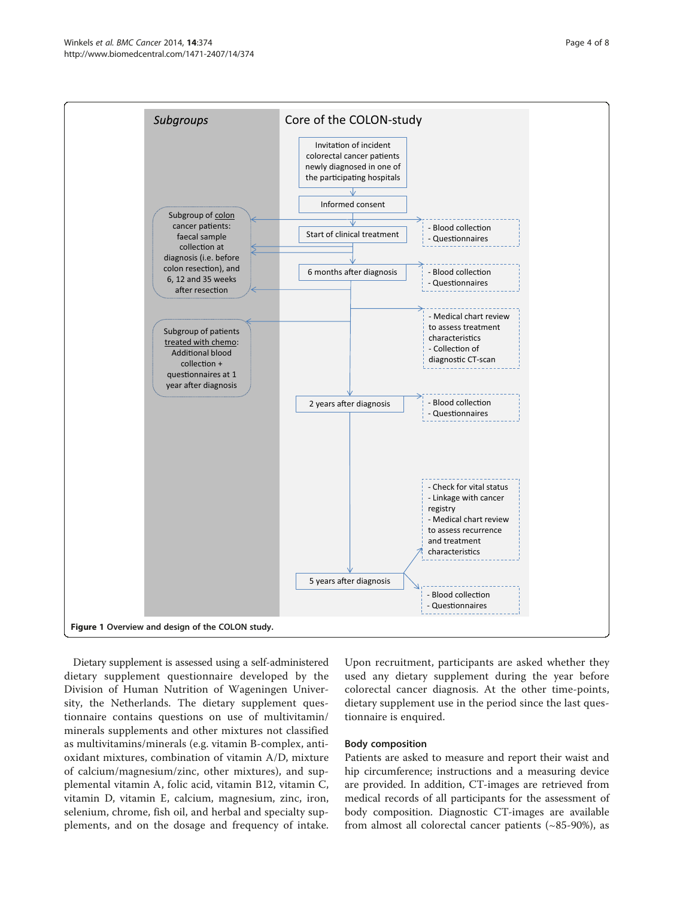<span id="page-3-0"></span>

Dietary supplement is assessed using a self-administered dietary supplement questionnaire developed by the Division of Human Nutrition of Wageningen University, the Netherlands. The dietary supplement questionnaire contains questions on use of multivitamin/ minerals supplements and other mixtures not classified as multivitamins/minerals (e.g. vitamin B-complex, antioxidant mixtures, combination of vitamin A/D, mixture of calcium/magnesium/zinc, other mixtures), and supplemental vitamin A, folic acid, vitamin B12, vitamin C, vitamin D, vitamin E, calcium, magnesium, zinc, iron, selenium, chrome, fish oil, and herbal and specialty supplements, and on the dosage and frequency of intake. Upon recruitment, participants are asked whether they used any dietary supplement during the year before colorectal cancer diagnosis. At the other time-points, dietary supplement use in the period since the last questionnaire is enquired.

#### Body composition

Patients are asked to measure and report their waist and hip circumference; instructions and a measuring device are provided. In addition, CT-images are retrieved from medical records of all participants for the assessment of body composition. Diagnostic CT-images are available from almost all colorectal cancer patients (~85-90%), as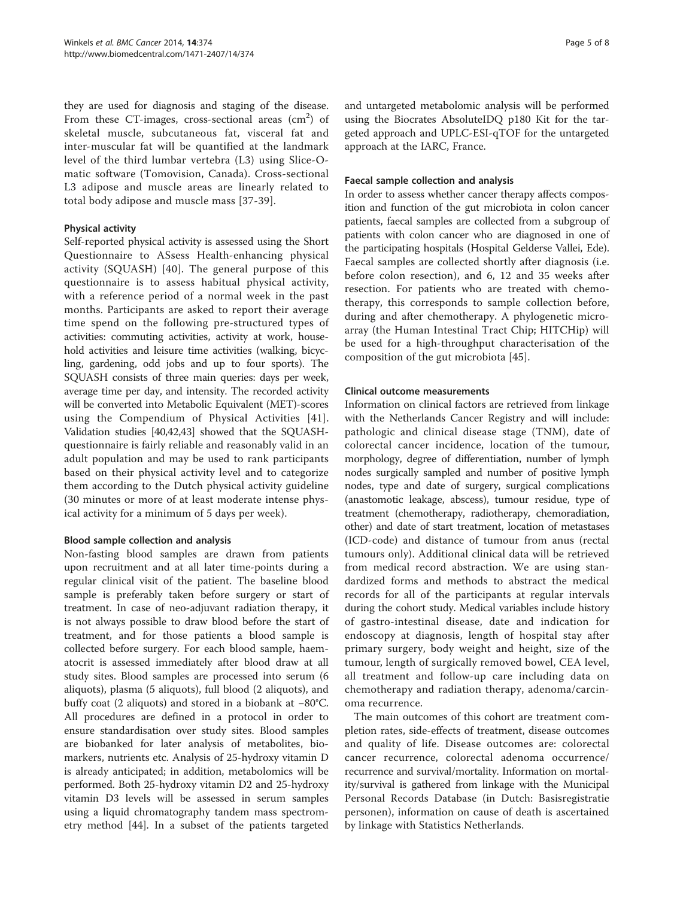they are used for diagnosis and staging of the disease. From these CT-images, cross-sectional areas  $(cm<sup>2</sup>)$  of skeletal muscle, subcutaneous fat, visceral fat and inter-muscular fat will be quantified at the landmark level of the third lumbar vertebra (L3) using Slice-Omatic software (Tomovision, Canada). Cross-sectional L3 adipose and muscle areas are linearly related to total body adipose and muscle mass [\[37-39](#page-6-0)].

## Physical activity

Self-reported physical activity is assessed using the Short Questionnaire to ASsess Health-enhancing physical activity (SQUASH) [[40\]](#page-6-0). The general purpose of this questionnaire is to assess habitual physical activity, with a reference period of a normal week in the past months. Participants are asked to report their average time spend on the following pre-structured types of activities: commuting activities, activity at work, household activities and leisure time activities (walking, bicycling, gardening, odd jobs and up to four sports). The SQUASH consists of three main queries: days per week, average time per day, and intensity. The recorded activity will be converted into Metabolic Equivalent (MET)-scores using the Compendium of Physical Activities [[41](#page-7-0)]. Validation studies [[40](#page-6-0)[,42,43\]](#page-7-0) showed that the SQUASHquestionnaire is fairly reliable and reasonably valid in an adult population and may be used to rank participants based on their physical activity level and to categorize them according to the Dutch physical activity guideline (30 minutes or more of at least moderate intense physical activity for a minimum of 5 days per week).

## Blood sample collection and analysis

Non-fasting blood samples are drawn from patients upon recruitment and at all later time-points during a regular clinical visit of the patient. The baseline blood sample is preferably taken before surgery or start of treatment. In case of neo-adjuvant radiation therapy, it is not always possible to draw blood before the start of treatment, and for those patients a blood sample is collected before surgery. For each blood sample, haematocrit is assessed immediately after blood draw at all study sites. Blood samples are processed into serum (6 aliquots), plasma (5 aliquots), full blood (2 aliquots), and buffy coat (2 aliquots) and stored in a biobank at −80°C. All procedures are defined in a protocol in order to ensure standardisation over study sites. Blood samples are biobanked for later analysis of metabolites, biomarkers, nutrients etc. Analysis of 25-hydroxy vitamin D is already anticipated; in addition, metabolomics will be performed. Both 25-hydroxy vitamin D2 and 25-hydroxy vitamin D3 levels will be assessed in serum samples using a liquid chromatography tandem mass spectrometry method [[44](#page-7-0)]. In a subset of the patients targeted and untargeted metabolomic analysis will be performed using the Biocrates AbsoluteIDQ p180 Kit for the targeted approach and UPLC-ESI-qTOF for the untargeted approach at the IARC, France.

## Faecal sample collection and analysis

In order to assess whether cancer therapy affects composition and function of the gut microbiota in colon cancer patients, faecal samples are collected from a subgroup of patients with colon cancer who are diagnosed in one of the participating hospitals (Hospital Gelderse Vallei, Ede). Faecal samples are collected shortly after diagnosis (i.e. before colon resection), and 6, 12 and 35 weeks after resection. For patients who are treated with chemotherapy, this corresponds to sample collection before, during and after chemotherapy. A phylogenetic microarray (the Human Intestinal Tract Chip; HITCHip) will be used for a high-throughput characterisation of the composition of the gut microbiota [[45](#page-7-0)].

## Clinical outcome measurements

Information on clinical factors are retrieved from linkage with the Netherlands Cancer Registry and will include: pathologic and clinical disease stage (TNM), date of colorectal cancer incidence, location of the tumour, morphology, degree of differentiation, number of lymph nodes surgically sampled and number of positive lymph nodes, type and date of surgery, surgical complications (anastomotic leakage, abscess), tumour residue, type of treatment (chemotherapy, radiotherapy, chemoradiation, other) and date of start treatment, location of metastases (ICD-code) and distance of tumour from anus (rectal tumours only). Additional clinical data will be retrieved from medical record abstraction. We are using standardized forms and methods to abstract the medical records for all of the participants at regular intervals during the cohort study. Medical variables include history of gastro-intestinal disease, date and indication for endoscopy at diagnosis, length of hospital stay after primary surgery, body weight and height, size of the tumour, length of surgically removed bowel, CEA level, all treatment and follow-up care including data on chemotherapy and radiation therapy, adenoma/carcinoma recurrence.

The main outcomes of this cohort are treatment completion rates, side-effects of treatment, disease outcomes and quality of life. Disease outcomes are: colorectal cancer recurrence, colorectal adenoma occurrence/ recurrence and survival/mortality. Information on mortality/survival is gathered from linkage with the Municipal Personal Records Database (in Dutch: Basisregistratie personen), information on cause of death is ascertained by linkage with Statistics Netherlands.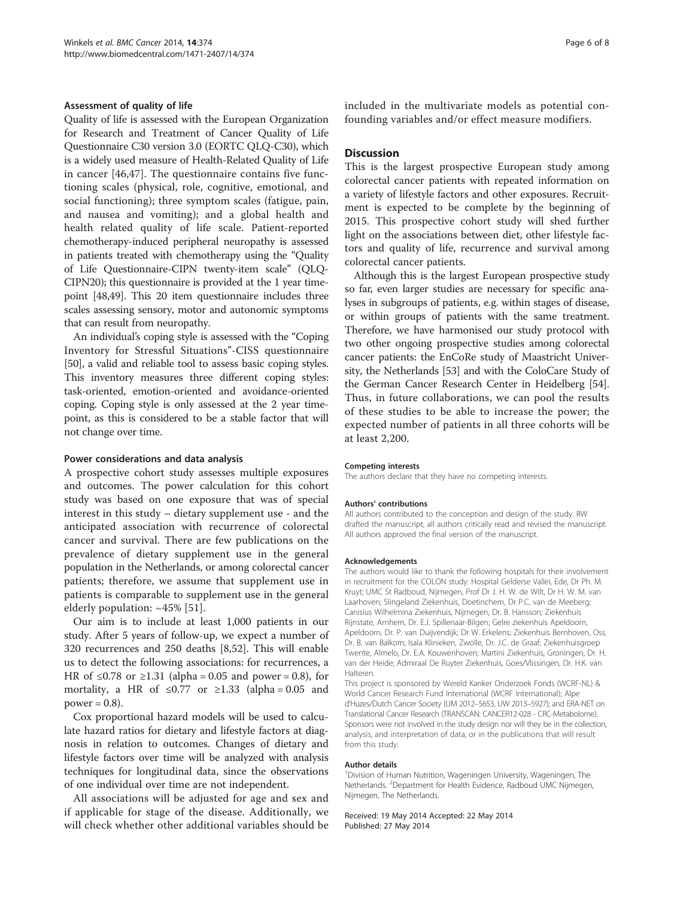#### Assessment of quality of life

Quality of life is assessed with the European Organization for Research and Treatment of Cancer Quality of Life Questionnaire C30 version 3.0 (EORTC QLQ-C30), which is a widely used measure of Health-Related Quality of Life in cancer [[46,47](#page-7-0)]. The questionnaire contains five functioning scales (physical, role, cognitive, emotional, and social functioning); three symptom scales (fatigue, pain, and nausea and vomiting); and a global health and health related quality of life scale. Patient-reported chemotherapy-induced peripheral neuropathy is assessed in patients treated with chemotherapy using the "Quality of Life Questionnaire-CIPN twenty-item scale" (QLQ-CIPN20); this questionnaire is provided at the 1 year timepoint [\[48,49](#page-7-0)]. This 20 item questionnaire includes three scales assessing sensory, motor and autonomic symptoms that can result from neuropathy.

An individual's coping style is assessed with the "Coping Inventory for Stressful Situations"-CISS questionnaire [[50](#page-7-0)], a valid and reliable tool to assess basic coping styles. This inventory measures three different coping styles: task-oriented, emotion-oriented and avoidance-oriented coping. Coping style is only assessed at the 2 year timepoint, as this is considered to be a stable factor that will not change over time.

#### Power considerations and data analysis

A prospective cohort study assesses multiple exposures and outcomes. The power calculation for this cohort study was based on one exposure that was of special interest in this study – dietary supplement use - and the anticipated association with recurrence of colorectal cancer and survival. There are few publications on the prevalence of dietary supplement use in the general population in the Netherlands, or among colorectal cancer patients; therefore, we assume that supplement use in patients is comparable to supplement use in the general elderly population: ~45% [\[51](#page-7-0)].

Our aim is to include at least 1,000 patients in our study. After 5 years of follow-up, we expect a number of 320 recurrences and 250 deaths [[8,](#page-6-0)[52\]](#page-7-0). This will enable us to detect the following associations: for recurrences, a HR of ≤0.78 or ≥1.31 (alpha = 0.05 and power = 0.8), for mortality, a HR of  $\leq 0.77$  or  $\geq 1.33$  (alpha = 0.05 and power  $= 0.8$ ).

Cox proportional hazard models will be used to calculate hazard ratios for dietary and lifestyle factors at diagnosis in relation to outcomes. Changes of dietary and lifestyle factors over time will be analyzed with analysis techniques for longitudinal data, since the observations of one individual over time are not independent.

All associations will be adjusted for age and sex and if applicable for stage of the disease. Additionally, we will check whether other additional variables should be included in the multivariate models as potential confounding variables and/or effect measure modifiers.

## **Discussion**

This is the largest prospective European study among colorectal cancer patients with repeated information on a variety of lifestyle factors and other exposures. Recruitment is expected to be complete by the beginning of 2015. This prospective cohort study will shed further light on the associations between diet, other lifestyle factors and quality of life, recurrence and survival among colorectal cancer patients.

Although this is the largest European prospective study so far, even larger studies are necessary for specific analyses in subgroups of patients, e.g. within stages of disease, or within groups of patients with the same treatment. Therefore, we have harmonised our study protocol with two other ongoing prospective studies among colorectal cancer patients: the EnCoRe study of Maastricht University, the Netherlands [\[53\]](#page-7-0) and with the ColoCare Study of the German Cancer Research Center in Heidelberg [[54](#page-7-0)]. Thus, in future collaborations, we can pool the results of these studies to be able to increase the power; the expected number of patients in all three cohorts will be at least 2,200.

#### Competing interests

The authors declare that they have no competing interests.

#### Authors' contributions

All authors contributed to the conception and design of the study. RW drafted the manuscript, all authors critically read and revised the manuscript. All authors approved the final version of the manuscript.

#### Acknowledgements

The authors would like to thank the following hospitals for their involvement in recruitment for the COLON study: Hospital Gelderse Vallei, Ede, Dr Ph. M. Kruyt; UMC St Radboud, Nijmegen, Prof Dr J. H. W. de Wilt, Dr H. W. M. van Laarhoven; Slingeland Ziekenhuis, Doetinchem, Dr P.C. van de Meeberg; Canisius Wilhelmina Ziekenhuis, Nijmegen, Dr. B. Hansson; Ziekenhuis Rijnstate, Arnhem, Dr. E.J. Spillenaar-Bilgen; Gelre ziekenhuis Apeldoorn, Apeldoorn, Dr. P. van Duijvendijk, Dr W. Erkelens; Ziekenhuis Bernhoven, Oss, Dr. B. van Balkom; Isala Klinieken, Zwolle, Dr. J.C. de Graaf; Ziekenhuisgroep Twente, Almelo, Dr. E.A. Kouwenhoven; Martini Ziekenhuis, Groningen, Dr. H. van der Heide; Admiraal De Ruyter Ziekenhuis, Goes/Vlissingen, Dr. H.K. van Halteren.

This project is sponsored by Wereld Kanker Onderzoek Fonds (WCRF-NL) & World Cancer Research Fund International (WCRF International); Alpe d'Huzes/Dutch Cancer Society (UM 2012–5653, UW 2013–5927); and ERA-NET on Translational Cancer Research (TRANSCAN: CANCER12-028 - CRC-Metabolome). Sponsors were not involved in the study design nor will they be in the collection, analysis, and interpretation of data, or in the publications that will result from this study.

#### Author details

<sup>1</sup> Division of Human Nutrition, Wageningen University, Wageningen, The Netherlands. <sup>2</sup> Department for Health Evidence, Radboud UMC Nijmegen, Nijmegen, The Netherlands.

Received: 19 May 2014 Accepted: 22 May 2014 Published: 27 May 2014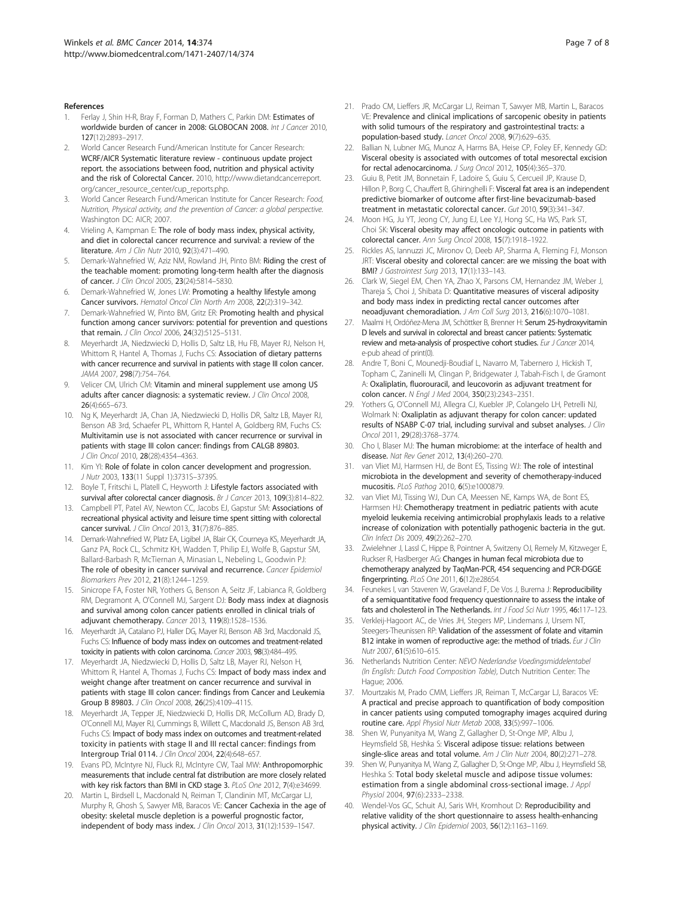#### <span id="page-6-0"></span>References

- Ferlay J, Shin H-R, Bray F, Forman D, Mathers C, Parkin DM: Estimates of worldwide burden of cancer in 2008: GLOBOCAN 2008. Int J Cancer 2010, 127(12):2893–2917.
- 2. World Cancer Research Fund/American Institute for Cancer Research: WCRF/AICR Systematic literature review - continuous update project report. the associations between food, nutrition and physical activity and the risk of Colorectal Cancer. 2010, [http://www.dietandcancerreport.](http://www.dietandcancerreport.org/cancer_resource_center/cup_reports.php) [org/cancer\\_resource\\_center/cup\\_reports.php](http://www.dietandcancerreport.org/cancer_resource_center/cup_reports.php).
- 3. World Cancer Research Fund/American Institute for Cancer Research: Food, Nutrition, Physical activity, and the prevention of Cancer: a global perspective. Washington DC: AICR: 2007.
- 4. Vrieling A, Kampman E: The role of body mass index, physical activity, and diet in colorectal cancer recurrence and survival: a review of the literature. Am J Clin Nutr 2010, 92(3):471–490.
- Demark-Wahnefried W, Aziz NM, Rowland JH, Pinto BM: Riding the crest of the teachable moment: promoting long-term health after the diagnosis of cancer. J Clin Oncol 2005, 23(24):5814–5830.
- Demark-Wahnefried W, Jones LW: Promoting a healthy lifestyle among Cancer survivors. Hematol Oncol Clin North Am 2008, 22(2):319–342.
- 7. Demark-Wahnefried W, Pinto BM, Gritz ER: Promoting health and physical function among cancer survivors: potential for prevention and questions that remain. J Clin Oncol 2006, 24(32):5125–5131.
- 8. Meyerhardt JA, Niedzwiecki D, Hollis D, Saltz LB, Hu FB, Mayer RJ, Nelson H, Whittom R, Hantel A, Thomas J, Fuchs CS: Association of dietary patterns with cancer recurrence and survival in patients with stage III colon cancer. JAMA 2007, 298(7):754–764.
- 9. Velicer CM, Ulrich CM: Vitamin and mineral supplement use among US adults after cancer diagnosis: a systematic review. J Clin Oncol 2008, 26(4):665–673.
- 10. Ng K, Meyerhardt JA, Chan JA, Niedzwiecki D, Hollis DR, Saltz LB, Mayer RJ, Benson AB 3rd, Schaefer PL, Whittom R, Hantel A, Goldberg RM, Fuchs CS: Multivitamin use is not associated with cancer recurrence or survival in patients with stage III colon cancer: findings from CALGB 89803. J Clin Oncol 2010, 28(28):4354–4363.
- 11. Kim YI: Role of folate in colon cancer development and progression. J Nutr 2003, 133(11 Suppl 1):3731S–3739S.
- 12. Boyle T, Fritschi L, Platell C, Heyworth J: Lifestyle factors associated with survival after colorectal cancer diagnosis. Br J Cancer 2013, 109(3):814-822.
- 13. Campbell PT, Patel AV, Newton CC, Jacobs EJ, Gapstur SM: Associations of recreational physical activity and leisure time spent sitting with colorectal cancer survival. J Clin Oncol 2013, 31(7):876–885.
- 14. Demark-Wahnefried W, Platz EA, Ligibel JA, Blair CK, Courneya KS, Meyerhardt JA, Ganz PA, Rock CL, Schmitz KH, Wadden T, Philip EJ, Wolfe B, Gapstur SM, Ballard-Barbash R, McTiernan A, Minasian L, Nebeling L, Goodwin PJ: The role of obesity in cancer survival and recurrence. Cancer Epidemiol Biomarkers Prev 2012, 21(8):1244–1259.
- 15. Sinicrope FA, Foster NR, Yothers G, Benson A, Seitz JF, Labianca R, Goldberg RM, Degramont A, O'Connell MJ, Sargent DJ: Body mass index at diagnosis and survival among colon cancer patients enrolled in clinical trials of adjuvant chemotherapy. Cancer 2013, 119(8):1528–1536.
- 16. Meyerhardt JA, Catalano PJ, Haller DG, Mayer RJ, Benson AB 3rd, Macdonald JS, Fuchs CS: Influence of body mass index on outcomes and treatment-related toxicity in patients with colon carcinoma. Cancer 2003, 98(3):484–495.
- 17. Meyerhardt JA, Niedzwiecki D, Hollis D, Saltz LB, Mayer RJ, Nelson H, Whittom R, Hantel A, Thomas J, Fuchs CS: Impact of body mass index and weight change after treatment on cancer recurrence and survival in patients with stage III colon cancer: findings from Cancer and Leukemia Group B 89803. J Clin Oncol 2008, 26(25):4109–4115.
- 18. Meyerhardt JA, Tepper JE, Niedzwiecki D, Hollis DR, McCollum AD, Brady D, O'Connell MJ, Mayer RJ, Cummings B, Willett C, Macdonald JS, Benson AB 3rd, Fuchs CS: Impact of body mass index on outcomes and treatment-related toxicity in patients with stage II and III rectal cancer: findings from Intergroup Trial 0114. J Clin Oncol 2004, 22(4):648–657.
- 19. Evans PD, McIntyre NJ, Fluck RJ, McIntyre CW, Taal MW: Anthropomorphic measurements that include central fat distribution are more closely related with key risk factors than BMI in CKD stage 3. PLoS One 2012, 7(4):e34699.
- 20. Martin L, Birdsell L, Macdonald N, Reiman T, Clandinin MT, McCargar LJ, Murphy R, Ghosh S, Sawyer MB, Baracos VE: Cancer Cachexia in the age of obesity: skeletal muscle depletion is a powerful prognostic factor, independent of body mass index. J Clin Oncol 2013, 31(12):1539-1547.
- 21. Prado CM, Lieffers JR, McCargar LJ, Reiman T, Sawyer MB, Martin L, Baracos VE: Prevalence and clinical implications of sarcopenic obesity in patients with solid tumours of the respiratory and gastrointestinal tracts: a population-based study. Lancet Oncol 2008, 9(7):629–635.
- 22. Ballian N, Lubner MG, Munoz A, Harms BA, Heise CP, Foley EF, Kennedy GD: Visceral obesity is associated with outcomes of total mesorectal excision for rectal adenocarcinoma. J Surg Oncol 2012, 105(4):365–370.
- 23. Guiu B, Petit JM, Bonnetain F, Ladoire S, Guiu S, Cercueil JP, Krause D, Hillon P, Borg C, Chauffert B, Ghiringhelli F: Visceral fat area is an independent predictive biomarker of outcome after first-line bevacizumab-based treatment in metastatic colorectal cancer. Gut 2010, 59(3):341–347.
- 24. Moon HG, Ju YT, Jeong CY, Jung EJ, Lee YJ, Hong SC, Ha WS, Park ST, Choi SK: Visceral obesity may affect oncologic outcome in patients with colorectal cancer. Ann Surg Oncol 2008, 15(7):1918–1922.
- 25. Rickles AS, Iannuzzi JC, Mironov O, Deeb AP, Sharma A, Fleming FJ, Monson JRT: Visceral obesity and colorectal cancer: are we missing the boat with BMI? J Gastrointest Surg 2013, 17(1):133–143.
- 26. Clark W, Siegel EM, Chen YA, Zhao X, Parsons CM, Hernandez JM, Weber J, Thareja S, Choi J, Shibata D; Quantitative measures of visceral adiposity and body mass index in predicting rectal cancer outcomes after neoadjuvant chemoradiation. J Am Coll Surg 2013, 216(6):1070–1081.
- 27. Maalmi H, Ordóñez-Mena JM, Schöttker B, Brenner H: Serum 25-hydroxyvitamin D levels and survival in colorectal and breast cancer patients: Systematic review and meta-analysis of prospective cohort studies. Eur J Cancer 2014, e-pub ahead of print(0).
- 28. Andre T, Boni C, Mounedji-Boudiaf L, Navarro M, Tabernero J, Hickish T, Topham C, Zaninelli M, Clingan P, Bridgewater J, Tabah-Fisch I, de Gramont A: Oxaliplatin, fluorouracil, and leucovorin as adjuvant treatment for colon cancer. N Engl J Med 2004, 350(23):2343–2351.
- 29. Yothers G, O'Connell MJ, Allegra CJ, Kuebler JP, Colangelo LH, Petrelli NJ, Wolmark N: Oxaliplatin as adjuvant therapy for colon cancer: updated results of NSABP C-07 trial, including survival and subset analyses. J Clin Oncol 2011, 29(28):3768–3774.
- 30. Cho I, Blaser MJ: The human microbiome: at the interface of health and disease. Nat Rev Genet 2012, 13(4):260–270.
- 31. van Vliet MJ, Harmsen HJ, de Bont ES, Tissing WJ: The role of intestinal microbiota in the development and severity of chemotherapy-induced mucositis. PLoS Pathog 2010, 6(5):e1000879.
- 32. van Vliet MJ, Tissing WJ, Dun CA, Meessen NE, Kamps WA, de Bont ES, Harmsen HJ: Chemotherapy treatment in pediatric patients with acute myeloid leukemia receiving antimicrobial prophylaxis leads to a relative increase of colonization with potentially pathogenic bacteria in the gut. Clin Infect Dis 2009, 49(2):262–270.
- 33. Zwielehner J, Lassl C, Hippe B, Pointner A, Switzeny OJ, Remely M, Kitzweger E, Ruckser R, Haslberger AG: Changes in human fecal microbiota due to chemotherapy analyzed by TaqMan-PCR, 454 sequencing and PCR-DGGE fingerprinting. PLoS One 2011, 6(12):e28654.
- 34. Feunekes I, van Staveren W, Graveland F, De Vos J, Burema J: Reproducibility of a semiquantitative food frequency questionnaire to assess the intake of fats and cholesterol in The Netherlands. Int J Food Sci Nutr 1995, 46:117-123.
- 35. Verkleij-Hagoort AC, de Vries JH, Stegers MP, Lindemans J, Ursem NT, Steegers-Theunissen RP: Validation of the assessment of folate and vitamin B12 intake in women of reproductive age: the method of triads. Eur J Clin Nutr 2007, 61(5):610–615.
- 36. Netherlands Nutrition Center: NEVO Nederlandse Voedingsmiddelentabel (In English: Dutch Food Composition Table), Dutch Nutrition Center: The Hague; 2006.
- 37. Mourtzakis M, Prado CMM, Lieffers JR, Reiman T, McCargar LJ, Baracos VE: A practical and precise approach to quantification of body composition in cancer patients using computed tomography images acquired during routine care. Appl Physiol Nutr Metab 2008, 33(5):997–1006.
- Shen W, Punyanitya M, Wang Z, Gallagher D, St-Onge MP, Albu J, Heymsfield SB, Heshka S: Visceral adipose tissue: relations between single-slice areas and total volume. Am J Clin Nutr 2004, 80(2):271-278.
- 39. Shen W, Punyanitya M, Wang Z, Gallagher D, St-Onge MP, Albu J, Heymsfield SB, Heshka S: Total body skeletal muscle and adipose tissue volumes: estimation from a single abdominal cross-sectional image. J Appl Physiol 2004, 97(6):2333-2338.
- 40. Wendel-Vos GC, Schuit AJ, Saris WH, Kromhout D: Reproducibility and relative validity of the short questionnaire to assess health-enhancing physical activity. J Clin Epidemiol 2003, 56(12):1163–1169.